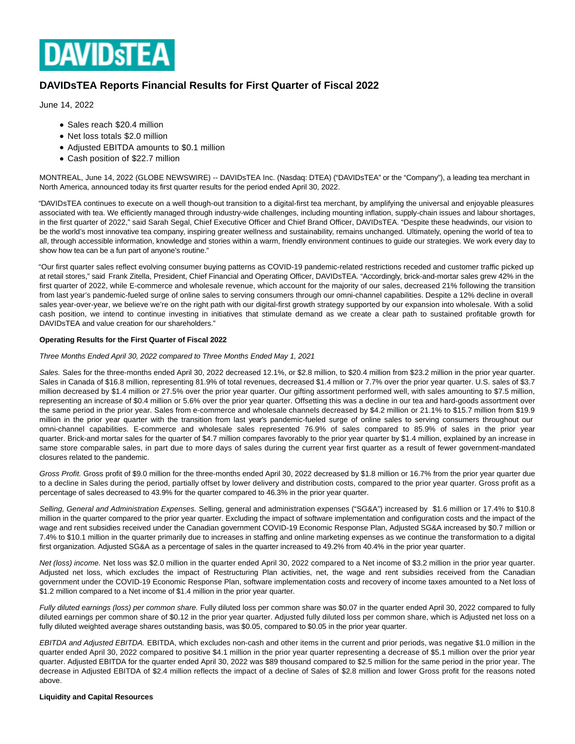

# **DAVIDsTEA Reports Financial Results for First Quarter of Fiscal 2022**

June 14, 2022

- Sales reach \$20.4 million
- Net loss totals \$2.0 million
- Adjusted EBITDA amounts to \$0.1 million
- Cash position of \$22.7 million

MONTREAL, June 14, 2022 (GLOBE NEWSWIRE) -- DAVIDsTEA Inc. (Nasdaq: DTEA) ("DAVIDsTEA" or the "Company"), a leading tea merchant in North America, announced today its first quarter results for the period ended April 30, 2022.

"DAVIDsTEA continues to execute on a well though-out transition to a digital-first tea merchant, by amplifying the universal and enjoyable pleasures associated with tea. We efficiently managed through industry-wide challenges, including mounting inflation, supply-chain issues and labour shortages, in the first quarter of 2022," said Sarah Segal, Chief Executive Officer and Chief Brand Officer, DAVIDsTEA. "Despite these headwinds, our vision to be the world's most innovative tea company, inspiring greater wellness and sustainability, remains unchanged. Ultimately, opening the world of tea to all, through accessible information, knowledge and stories within a warm, friendly environment continues to guide our strategies. We work every day to show how tea can be a fun part of anyone's routine."

"Our first quarter sales reflect evolving consumer buying patterns as COVID-19 pandemic-related restrictions receded and customer traffic picked up at retail stores," said Frank Zitella, President, Chief Financial and Operating Officer, DAVIDsTEA. "Accordingly, brick-and-mortar sales grew 42% in the first quarter of 2022, while E-commerce and wholesale revenue, which account for the majority of our sales, decreased 21% following the transition from last year's pandemic-fueled surge of online sales to serving consumers through our omni-channel capabilities. Despite a 12% decline in overall sales year-over-year, we believe we're on the right path with our digital-first growth strategy supported by our expansion into wholesale. With a solid cash position, we intend to continue investing in initiatives that stimulate demand as we create a clear path to sustained profitable growth for DAVIDsTEA and value creation for our shareholders."

# **Operating Results for the First Quarter of Fiscal 2022**

## Three Months Ended April 30, 2022 compared to Three Months Ended May 1, 2021

Sales. Sales for the three-months ended April 30, 2022 decreased 12.1%, or \$2.8 million, to \$20.4 million from \$23.2 million in the prior year quarter. Sales in Canada of \$16.8 million, representing 81.9% of total revenues, decreased \$1.4 million or 7.7% over the prior year quarter. U.S. sales of \$3.7 million decreased by \$1.4 million or 27.5% over the prior year quarter. Our gifting assortment performed well, with sales amounting to \$7.5 million, representing an increase of \$0.4 million or 5.6% over the prior year quarter. Offsetting this was a decline in our tea and hard-goods assortment over the same period in the prior year. Sales from e-commerce and wholesale channels decreased by \$4.2 million or 21.1% to \$15.7 million from \$19.9 million in the prior year quarter with the transition from last year's pandemic-fueled surge of online sales to serving consumers throughout our omni-channel capabilities. E-commerce and wholesale sales represented 76.9% of sales compared to 85.9% of sales in the prior year quarter. Brick-and mortar sales for the quarter of \$4.7 million compares favorably to the prior year quarter by \$1.4 million, explained by an increase in same store comparable sales, in part due to more days of sales during the current year first quarter as a result of fewer government-mandated closures related to the pandemic.

Gross Profit. Gross profit of \$9.0 million for the three-months ended April 30, 2022 decreased by \$1.8 million or 16.7% from the prior year quarter due to a decline in Sales during the period, partially offset by lower delivery and distribution costs, compared to the prior year quarter. Gross profit as a percentage of sales decreased to 43.9% for the quarter compared to 46.3% in the prior year quarter.

Selling, General and Administration Expenses. Selling, general and administration expenses ("SG&A") increased by \$1.6 million or 17.4% to \$10.8 million in the quarter compared to the prior year quarter. Excluding the impact of software implementation and configuration costs and the impact of the wage and rent subsidies received under the Canadian government COVID-19 Economic Response Plan, Adjusted SG&A increased by \$0.7 million or 7.4% to \$10.1 million in the quarter primarily due to increases in staffing and online marketing expenses as we continue the transformation to a digital first organization. Adjusted SG&A as a percentage of sales in the quarter increased to 49.2% from 40.4% in the prior year quarter.

Net (loss) income. Net loss was \$2.0 million in the quarter ended April 30, 2022 compared to a Net income of \$3.2 million in the prior year quarter. Adjusted net loss, which excludes the impact of Restructuring Plan activities, net, the wage and rent subsidies received from the Canadian government under the COVID-19 Economic Response Plan, software implementation costs and recovery of income taxes amounted to a Net loss of \$1.2 million compared to a Net income of \$1.4 million in the prior year quarter.

Fully diluted earnings (loss) per common share. Fully diluted loss per common share was \$0.07 in the quarter ended April 30, 2022 compared to fully diluted earnings per common share of \$0.12 in the prior year quarter. Adjusted fully diluted loss per common share, which is Adjusted net loss on a fully diluted weighted average shares outstanding basis, was \$0.05, compared to \$0.05 in the prior year quarter.

EBITDA and Adjusted EBITDA. EBITDA, which excludes non-cash and other items in the current and prior periods, was negative \$1.0 million in the quarter ended April 30, 2022 compared to positive \$4.1 million in the prior year quarter representing a decrease of \$5.1 million over the prior year quarter. Adjusted EBITDA for the quarter ended April 30, 2022 was \$89 thousand compared to \$2.5 million for the same period in the prior year. The decrease in Adjusted EBITDA of \$2.4 million reflects the impact of a decline of Sales of \$2.8 million and lower Gross profit for the reasons noted above.

**Liquidity and Capital Resources**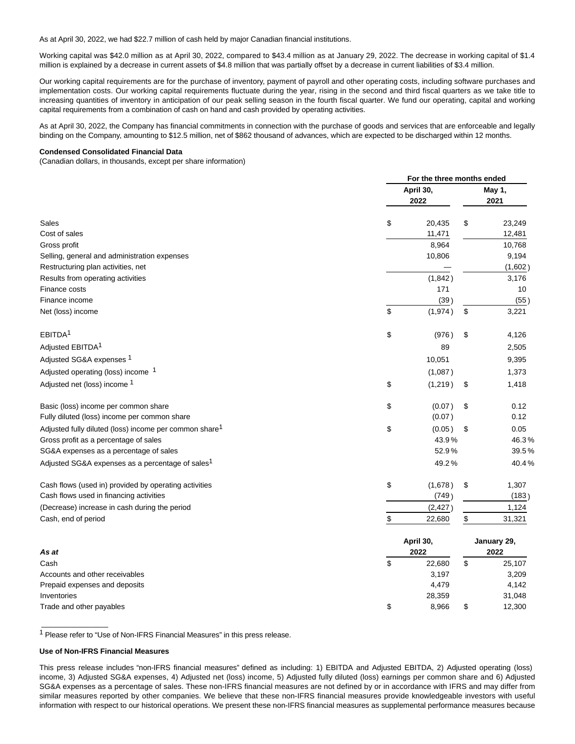As at April 30, 2022, we had \$22.7 million of cash held by major Canadian financial institutions.

Working capital was \$42.0 million as at April 30, 2022, compared to \$43.4 million as at January 29, 2022. The decrease in working capital of \$1.4 million is explained by a decrease in current assets of \$4.8 million that was partially offset by a decrease in current liabilities of \$3.4 million.

Our working capital requirements are for the purchase of inventory, payment of payroll and other operating costs, including software purchases and implementation costs. Our working capital requirements fluctuate during the year, rising in the second and third fiscal quarters as we take title to increasing quantities of inventory in anticipation of our peak selling season in the fourth fiscal quarter. We fund our operating, capital and working capital requirements from a combination of cash on hand and cash provided by operating activities.

As at April 30, 2022, the Company has financial commitments in connection with the purchase of goods and services that are enforceable and legally binding on the Company, amounting to \$12.5 million, net of \$862 thousand of advances, which are expected to be discharged within 12 months.

# **Condensed Consolidated Financial Data**

(Canadian dollars, in thousands, except per share information)

|                                                                    | For the three months ended |             |                |  |
|--------------------------------------------------------------------|----------------------------|-------------|----------------|--|
|                                                                    | April 30,<br>2022          |             | May 1,<br>2021 |  |
| Sales                                                              | \$<br>20,435               | \$          | 23,249         |  |
| Cost of sales                                                      | 11,471                     |             | 12,481         |  |
| Gross profit                                                       | 8,964                      |             | 10,768         |  |
| Selling, general and administration expenses                       | 10,806                     |             | 9,194          |  |
| Restructuring plan activities, net                                 |                            |             | (1,602)        |  |
| Results from operating activities                                  | (1,842)                    |             | 3,176          |  |
| Finance costs                                                      | 171                        |             | 10             |  |
| Finance income                                                     | (39)                       |             | (55)           |  |
| Net (loss) income                                                  | \$<br>(1,974)              | \$          | 3,221          |  |
| EBITDA <sup>1</sup>                                                | \$<br>(976)                | \$          | 4,126          |  |
| Adjusted EBITDA <sup>1</sup>                                       | 89                         |             | 2,505          |  |
| Adjusted SG&A expenses 1                                           | 10,051                     |             | 9,395          |  |
| Adjusted operating (loss) income 1                                 | (1,087)                    |             | 1,373          |  |
| Adjusted net (loss) income 1                                       | \$<br>(1,219)              | \$          | 1,418          |  |
| Basic (loss) income per common share                               | \$<br>(0.07)               | \$          | 0.12           |  |
| Fully diluted (loss) income per common share                       | (0.07)                     |             | 0.12           |  |
| Adjusted fully diluted (loss) income per common share <sup>1</sup> | \$<br>(0.05)               | \$          | 0.05           |  |
| Gross profit as a percentage of sales                              | 43.9%                      |             | 46.3%          |  |
| SG&A expenses as a percentage of sales                             | 52.9%                      |             | 39.5%          |  |
| Adjusted SG&A expenses as a percentage of sales <sup>1</sup>       | 49.2%                      |             | 40.4%          |  |
| Cash flows (used in) provided by operating activities              | \$<br>(1,678)              | \$          | 1,307          |  |
| Cash flows used in financing activities                            | (749)                      |             | (183)          |  |
| (Decrease) increase in cash during the period                      | (2, 427)                   |             | 1,124          |  |
| Cash, end of period                                                | \$<br>22,680               | \$          | 31,321         |  |
|                                                                    | April 30,                  | January 29, |                |  |
| As at                                                              | 2022                       |             | 2022           |  |
| Cash                                                               | \$<br>22,680               | \$          | 25,107         |  |
| Accounts and other receivables                                     | 3,197                      |             | 3,209          |  |
| Prepaid expenses and deposits                                      | 4,479                      |             | 4,142          |  |
| Inventories                                                        | 28,359                     |             | 31,048         |  |
| Trade and other pavables                                           | \$<br>8.966                | \$          | 12.300         |  |

1 Please refer to "Use of Non-IFRS Financial Measures" in this press release.

# **Use of Non-IFRS Financial Measures**

 $\overline{\phantom{a}}$  , we can consider the constant of  $\overline{\phantom{a}}$ 

This press release includes "non-IFRS financial measures" defined as including: 1) EBITDA and Adjusted EBITDA, 2) Adjusted operating (loss) income, 3) Adjusted SG&A expenses, 4) Adjusted net (loss) income, 5) Adjusted fully diluted (loss) earnings per common share and 6) Adjusted SG&A expenses as a percentage of sales. These non-IFRS financial measures are not defined by or in accordance with IFRS and may differ from similar measures reported by other companies. We believe that these non-IFRS financial measures provide knowledgeable investors with useful information with respect to our historical operations. We present these non-IFRS financial measures as supplemental performance measures because